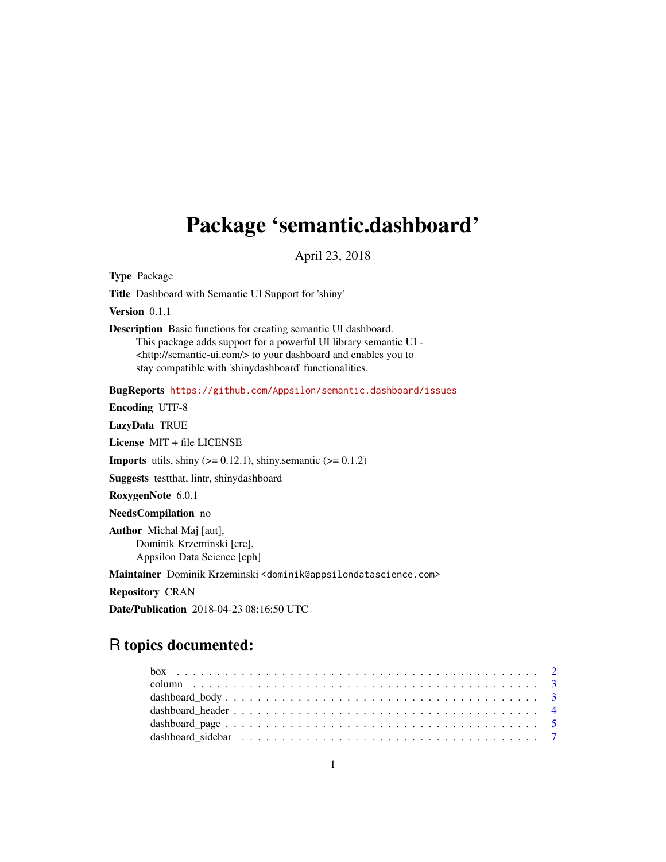# Package 'semantic.dashboard'

April 23, 2018

Type Package

Title Dashboard with Semantic UI Support for 'shiny'

Version 0.1.1

Description Basic functions for creating semantic UI dashboard. This package adds support for a powerful UI library semantic UI - <http://semantic-ui.com/> to your dashboard and enables you to stay compatible with 'shinydashboard' functionalities.

BugReports <https://github.com/Appsilon/semantic.dashboard/issues>

Encoding UTF-8

LazyData TRUE

License MIT + file LICENSE

**Imports** utils, shiny  $(>= 0.12.1)$ , shiny.semantic  $(>= 0.1.2)$ 

Suggests testthat, lintr, shinydashboard

RoxygenNote 6.0.1

NeedsCompilation no

Author Michal Maj [aut], Dominik Krzeminski [cre], Appsilon Data Science [cph]

Maintainer Dominik Krzeminski <dominik@appsilondatascience.com>

Repository CRAN

Date/Publication 2018-04-23 08:16:50 UTC

# R topics documented: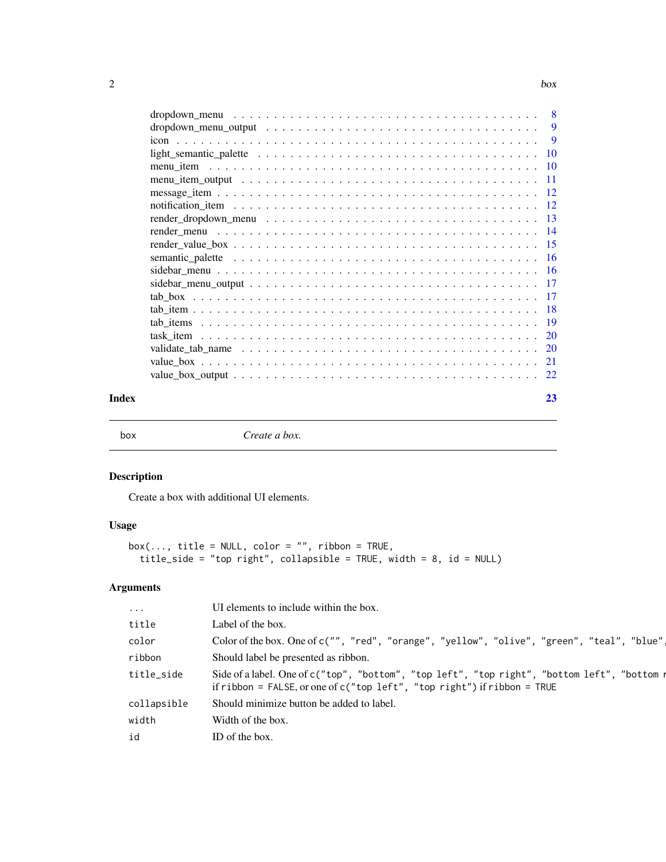<span id="page-1-0"></span>

| Index |  |  |  |  |  |  |  |  |  |  |  | 23 |
|-------|--|--|--|--|--|--|--|--|--|--|--|----|

box *Create a box.*

# Description

Create a box with additional UI elements.

# Usage

```
box(..., title = NULL, color = "", ribbon = TRUE,title_side = "top right", collapsible = TRUE, width = 8, id = NULL)
```
# Arguments

| $\cdot \cdot \cdot$ | UI elements to include within the box.                                                                                                                                     |
|---------------------|----------------------------------------------------------------------------------------------------------------------------------------------------------------------------|
| title               | Label of the box.                                                                                                                                                          |
| color               | Color of the box. One of c("", "red", "orange", "yellow", "olive", "green", "teal", "blue",                                                                                |
| ribbon              | Should label be presented as ribbon.                                                                                                                                       |
| title_side          | Side of a label. One of c("top", "bottom", "top left", "top right", "bottom left", "bottom n<br>if ribbon = FALSE, or one of $c("top left", "top right")$ if ribbon = TRUE |
| collapsible         | Should minimize button be added to label.                                                                                                                                  |
| width               | Width of the box.                                                                                                                                                          |
| id                  | ID of the box.                                                                                                                                                             |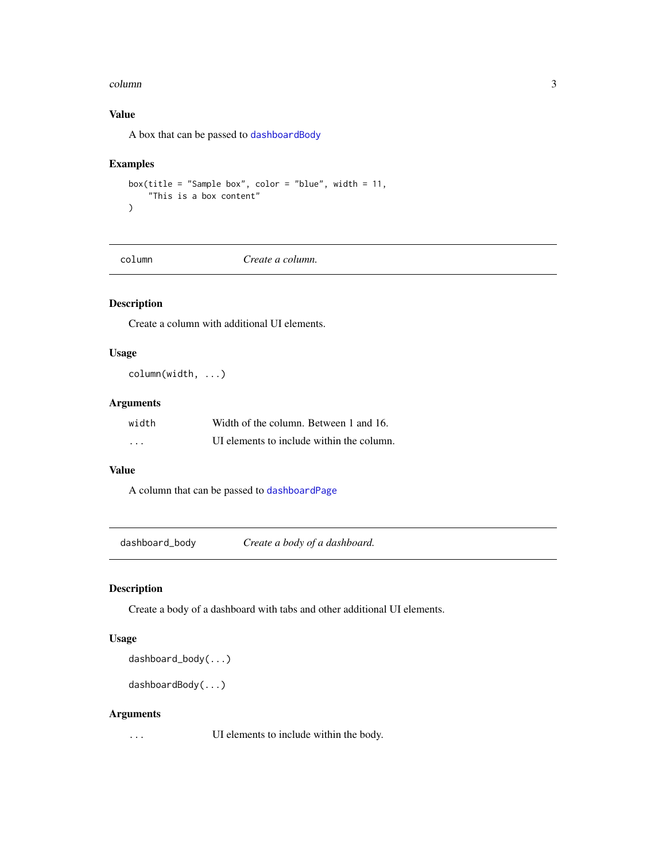#### <span id="page-2-0"></span>column 3

# Value

A box that can be passed to [dashboardBody](#page-2-1)

# Examples

```
box(title = "Sample box", color = "blue", width = 11,
    "This is a box content"
)
```
column *Create a column.*

# Description

Create a column with additional UI elements.

# Usage

column(width, ...)

# Arguments

| width | Width of the column. Between 1 and 16.    |
|-------|-------------------------------------------|
| .     | UI elements to include within the column. |

# Value

A column that can be passed to [dashboardPage](#page-4-1)

dashboard\_body *Create a body of a dashboard.*

# <span id="page-2-1"></span>Description

Create a body of a dashboard with tabs and other additional UI elements.

#### Usage

dashboard\_body(...)

dashboardBody(...)

# Arguments

... UI elements to include within the body.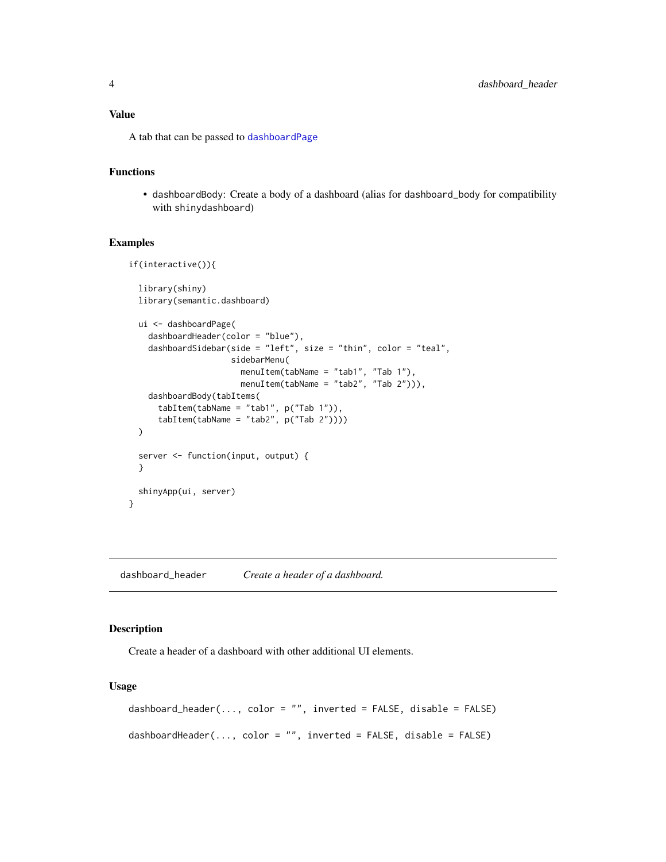#### <span id="page-3-0"></span>Value

A tab that can be passed to [dashboardPage](#page-4-1)

#### Functions

• dashboardBody: Create a body of a dashboard (alias for dashboard\_body for compatibility with shinydashboard)

#### Examples

```
if(interactive()){
 library(shiny)
 library(semantic.dashboard)
 ui <- dashboardPage(
   dashboardHeader(color = "blue"),
    dashboardSidebar(side = "left", size = "thin", color = "teal",
                     sidebarMenu(
                       menuItem(tabName = "tab1", "Tab 1"),
                       menuItem(tabName = "tab2", "Tab 2"))),
    dashboardBody(tabItems(
     tabItem(tabName = "tab1", p("Tab 1")),
     tabItem(tabName = "tab2", p("Tab 2"))))
 )
 server <- function(input, output) {
 }
 shinyApp(ui, server)
}
```
dashboard\_header *Create a header of a dashboard.*

# <span id="page-3-1"></span>Description

Create a header of a dashboard with other additional UI elements.

#### Usage

```
dashboard_header(..., color = "", inverted = FALSE, disable = FALSE)
dashboardHeader(..., color = "", inverted = FALSE, disable = FALSE)
```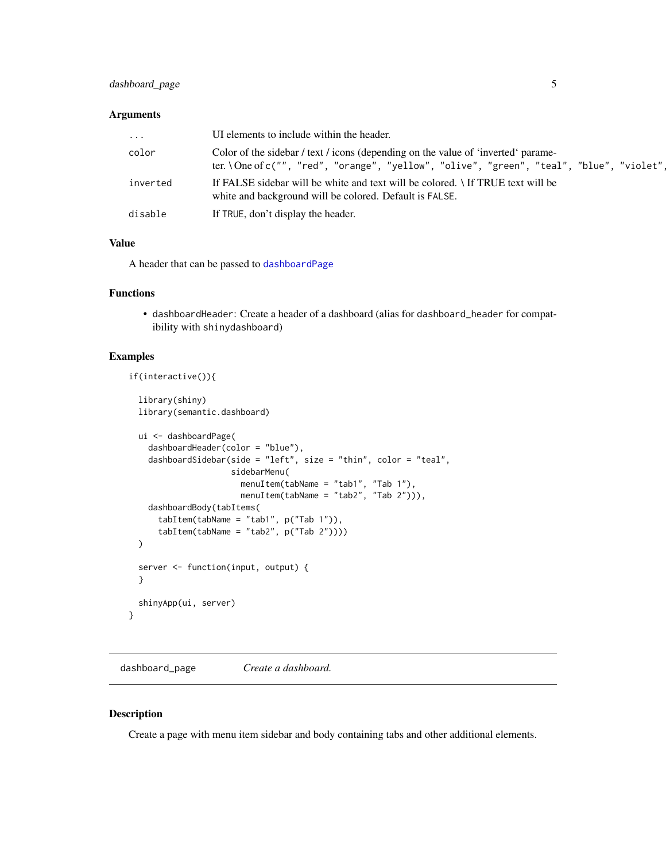# <span id="page-4-0"></span>dashboard\_page 5

#### Arguments

| $\cdots$ | UI elements to include within the header.                                                                                                                                      |
|----------|--------------------------------------------------------------------------------------------------------------------------------------------------------------------------------|
| color    | Color of the sidebar / text / icons (depending on the value of 'inverted' parame-<br>ter. \One of c("", "red", "orange", "yellow", "olive", "green", "teal", "blue", "violet", |
| inverted | If FALSE sidebar will be white and text will be colored. If TRUE text will be<br>white and background will be colored. Default is FALSE.                                       |
| disable  | If TRUE, don't display the header.                                                                                                                                             |

#### Value

A header that can be passed to [dashboardPage](#page-4-1)

# Functions

• dashboardHeader: Create a header of a dashboard (alias for dashboard\_header for compatibility with shinydashboard)

#### Examples

```
if(interactive()){
```

```
library(shiny)
library(semantic.dashboard)
ui <- dashboardPage(
  dashboardHeader(color = "blue"),
  dashboardSidebar(side = "left", size = "thin", color = "teal",
                   sidebarMenu(
                     menuItem(tabName = "tab1", "Tab 1"),
                     menuItem(tabName = "tab2", "Tab 2"))),
  dashboardBody(tabItems(
    tabItem(tabName = "tab1", p("Tab 1")),
    tabItem(tabName = "tab2", p("Tab 2"))))
\mathcal{L}server <- function(input, output) {
}
shinyApp(ui, server)
```
dashboard\_page *Create a dashboard.*

#### <span id="page-4-1"></span>Description

}

Create a page with menu item sidebar and body containing tabs and other additional elements.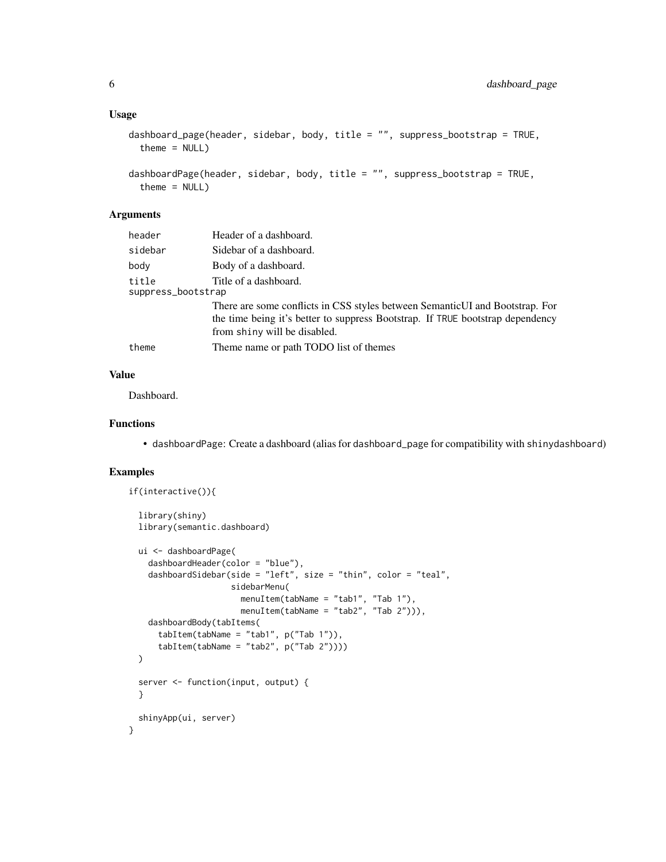#### Usage

```
dashboard_page(header, sidebar, body, title = "", suppress_bootstrap = TRUE,
 theme = NULL)
```

```
dashboardPage(header, sidebar, body, title = "", suppress_bootstrap = TRUE,
  theme = NULL)
```
# Arguments

| header                      | Header of a dashboard.                                                                                                                                                                         |
|-----------------------------|------------------------------------------------------------------------------------------------------------------------------------------------------------------------------------------------|
| sidebar                     | Sidebar of a dashboard.                                                                                                                                                                        |
| body                        | Body of a dashboard.                                                                                                                                                                           |
| title<br>suppress_bootstrap | Title of a dashboard.                                                                                                                                                                          |
|                             | There are some conflicts in CSS styles between SemanticUI and Bootstrap. For<br>the time being it's better to suppress Bootstrap. If TRUE bootstrap dependency<br>from shiny will be disabled. |
| theme                       | Theme name or path TODO list of themes                                                                                                                                                         |

# Value

Dashboard.

#### Functions

• dashboardPage: Create a dashboard (alias for dashboard\_page for compatibility with shinydashboard)

```
if(interactive()){
 library(shiny)
 library(semantic.dashboard)
 ui <- dashboardPage(
   dashboardHeader(color = "blue"),
   dashboardSidebar(side = "left", size = "thin", color = "teal",
                     sidebarMenu(
                       menuItem(tabName = "tab1", "Tab 1"),
                       menuItem(tabName = "tab2", "Tab 2"))),
    dashboardBody(tabItems(
      tabItem(tabName = "tab1", p("Tab 1")),
      tabItem(tabName = "tab2", p("Tab 2"))))
 \lambdaserver <- function(input, output) {
 }
 shinyApp(ui, server)
}
```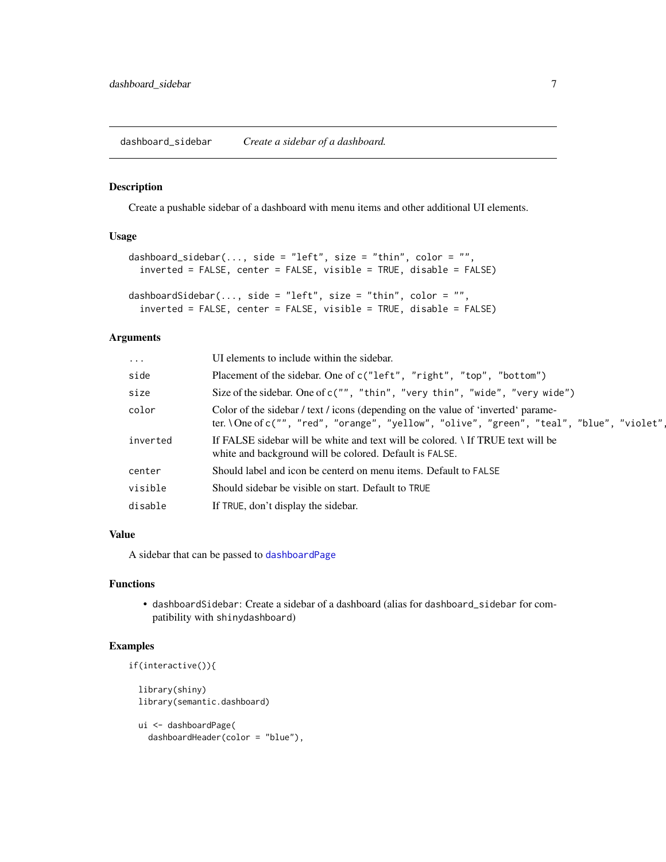<span id="page-6-0"></span>dashboard\_sidebar *Create a sidebar of a dashboard.*

#### <span id="page-6-1"></span>Description

Create a pushable sidebar of a dashboard with menu items and other additional UI elements.

#### Usage

```
dashboard_sidebar(..., side = "left", size = "thin", color = "",
 inverted = FALSE, center = FALSE, visible = TRUE, disable = FALSE)
dashboardSidebar(..., side = "left", size = "thin", color = "",
  inverted = FALSE, center = FALSE, visible = TRUE, disable = FALSE)
```
#### Arguments

| $\cdots$ | UI elements to include within the sidebar.                                                                                                                                     |
|----------|--------------------------------------------------------------------------------------------------------------------------------------------------------------------------------|
| side     | Placement of the sidebar. One of c("left", "right", "top", "bottom")                                                                                                           |
| size     | Size of the sidebar. One of c("", "thin", "very thin", "wide", "very wide")                                                                                                    |
| color    | Color of the sidebar / text / icons (depending on the value of 'inverted' parame-<br>ter. \One of c("", "red", "orange", "yellow", "olive", "green", "teal", "blue", "violet", |
| inverted | If FALSE sidebar will be white and text will be colored. If TRUE text will be<br>white and background will be colored. Default is FALSE.                                       |
| center   | Should label and icon be centerd on menu items. Default to FALSE                                                                                                               |
| visible  | Should sidebar be visible on start. Default to TRUE                                                                                                                            |
| disable  | If TRUE, don't display the sidebar.                                                                                                                                            |
|          |                                                                                                                                                                                |

#### Value

A sidebar that can be passed to [dashboardPage](#page-4-1)

# Functions

• dashboardSidebar: Create a sidebar of a dashboard (alias for dashboard\_sidebar for compatibility with shinydashboard)

# Examples

```
if(interactive()){
```
library(shiny) library(semantic.dashboard)

```
ui <- dashboardPage(
  dashboardHeader(color = "blue"),
```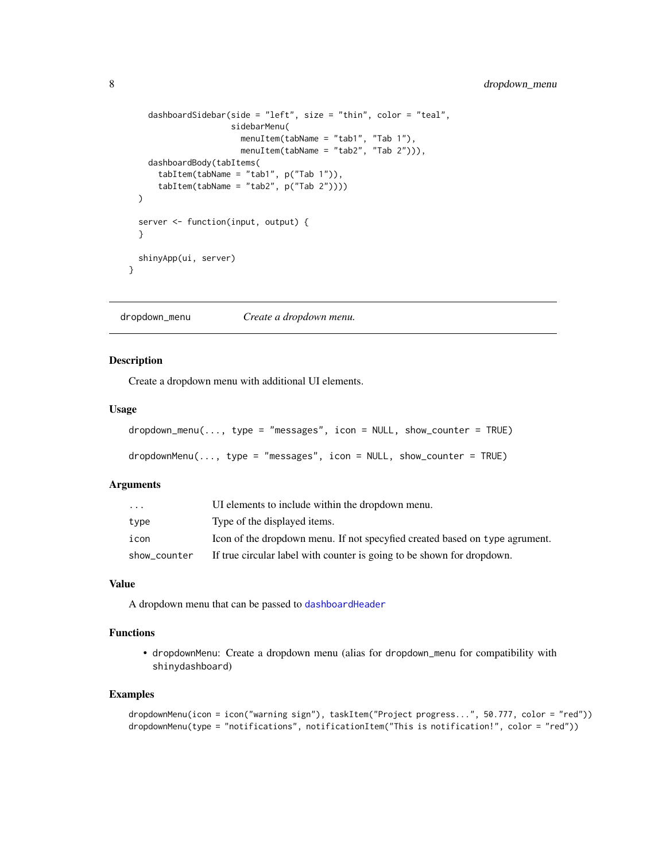```
dashboardSidebar(side = "left", size = "thin", color = "teal",
                   sidebarMenu(
                     menuItem(tabName = "tab1", "Tab 1"),
                     menuItem(tabName = "tab2", "Tab 2"))),
  dashboardBody(tabItems(
    tabItem(tabName = "tab1", p("Tab 1")),
    tabItem(tabName = "tab2", p("Tab 2"))))
)
server <- function(input, output) {
}
shinyApp(ui, server)
```
dropdown\_menu *Create a dropdown menu.*

#### <span id="page-7-1"></span>Description

}

Create a dropdown menu with additional UI elements.

#### Usage

```
dropdown_menu(..., type = "messages", icon = NULL, show_counter = TRUE)
dropdownMenu(..., type = "messages", icon = NULL, show_counter = TRUE)
```
#### Arguments

| $\ddotsc$    | UI elements to include within the dropdown menu.                            |
|--------------|-----------------------------------------------------------------------------|
| type         | Type of the displayed items.                                                |
| icon         | Icon of the dropdown menu. If not specyfied created based on type agrument. |
| show_counter | If true circular label with counter is going to be shown for dropdown.      |

#### Value

A dropdown menu that can be passed to [dashboardHeader](#page-3-1)

#### Functions

• dropdownMenu: Create a dropdown menu (alias for dropdown\_menu for compatibility with shinydashboard)

```
dropdownMenu(icon = icon("warning sign"), taskItem("Project progress...", 50.777, color = "red"))
dropdownMenu(type = "notifications", notificationItem("This is notification!", color = "red"))
```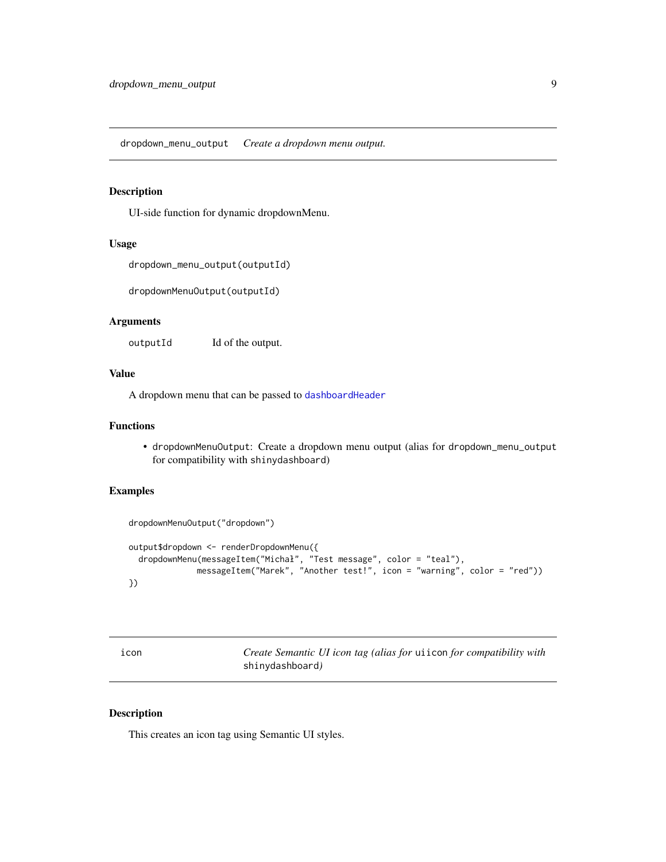<span id="page-8-0"></span>dropdown\_menu\_output *Create a dropdown menu output.*

# Description

UI-side function for dynamic dropdownMenu.

#### Usage

```
dropdown_menu_output(outputId)
```
dropdownMenuOutput(outputId)

#### Arguments

outputId Id of the output.

#### Value

A dropdown menu that can be passed to [dashboardHeader](#page-3-1)

# Functions

• dropdownMenuOutput: Create a dropdown menu output (alias for dropdown\_menu\_output for compatibility with shinydashboard)

# Examples

```
dropdownMenuOutput("dropdown")
output$dropdown <- renderDropdownMenu({
  dropdownMenu(messageItem("Michał", "Test message", color = "teal"),
              messageItem("Marek", "Another test!", icon = "warning", color = "red"))
})
```

| ıcon | Create Semantic UI icon tag (alias for uiicon for compatibility with |
|------|----------------------------------------------------------------------|
|      | shinydashboard)                                                      |

# Description

This creates an icon tag using Semantic UI styles.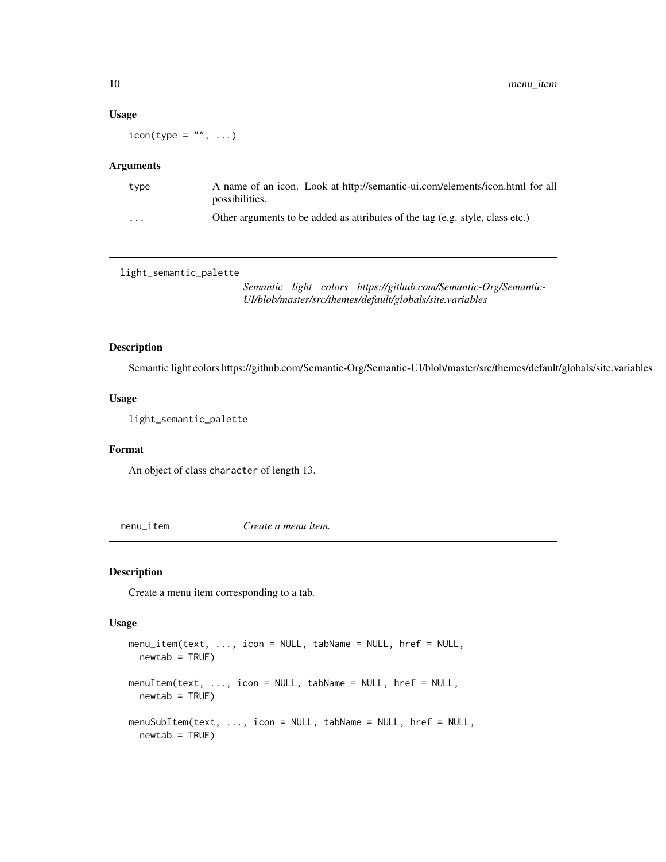#### Usage

 $i$ con(type = "", ...)

#### Arguments

| type                    | A name of an icon. Look at http://semantic-ui.com/elements/icon.html for all<br>possibilities. |
|-------------------------|------------------------------------------------------------------------------------------------|
| $\cdot$ $\cdot$ $\cdot$ | Other arguments to be added as attributes of the tag (e.g. style, class etc.)                  |

light\_semantic\_palette

*Semantic light colors https://github.com/Semantic-Org/Semantic-UI/blob/master/src/themes/default/globals/site.variables*

# Description

Semantic light colors https://github.com/Semantic-Org/Semantic-UI/blob/master/src/themes/default/globals/site.variables

# Usage

light\_semantic\_palette

#### Format

An object of class character of length 13.

menu\_item *Create a menu item.*

#### Description

Create a menu item corresponding to a tab.

#### Usage

```
menu_item(text, ..., icon = NULL, tabName = NULL, href = NULL,
 newtab = TRUE)
menuItem(text, ..., icon = NULL, tabName = NULL, href = NULL,
 newtab = TRUE)
menuSubItem(text, ..., icon = NULL, tabName = NULL, href = NULL,
  newtab = TRUE)
```
<span id="page-9-0"></span>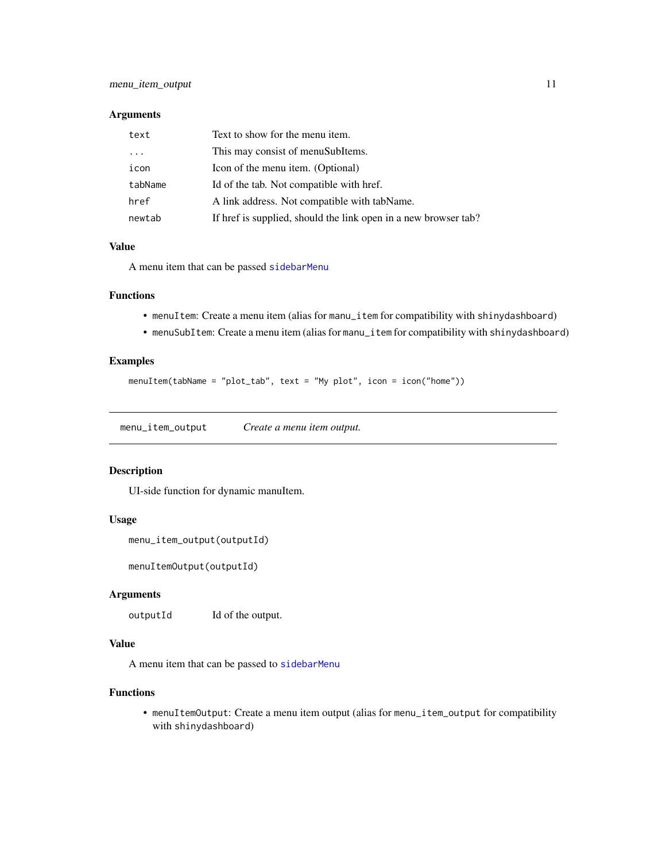#### <span id="page-10-0"></span>Arguments

| text    | Text to show for the menu item.                                 |
|---------|-----------------------------------------------------------------|
|         | This may consist of menuSubItems.                               |
| icon    | Icon of the menu item. (Optional)                               |
| tabName | Id of the tab. Not compatible with href.                        |
| href    | A link address. Not compatible with tabName.                    |
| newtab  | If href is supplied, should the link open in a new browser tab? |

#### Value

A menu item that can be passed [sidebarMenu](#page-15-1)

#### Functions

- menuItem: Create a menu item (alias for manu\_item for compatibility with shinydashboard)
- menuSubItem: Create a menu item (alias for manu\_item for compatibility with shinydashboard)

#### Examples

menuItem(tabName = "plot\_tab", text = "My plot", icon = icon("home"))

menu\_item\_output *Create a menu item output.*

#### Description

UI-side function for dynamic manuItem.

# Usage

```
menu_item_output(outputId)
```
menuItemOutput(outputId)

#### Arguments

outputId Id of the output.

#### Value

A menu item that can be passed to [sidebarMenu](#page-15-1)

#### Functions

• menuItemOutput: Create a menu item output (alias for menu\_item\_output for compatibility with shinydashboard)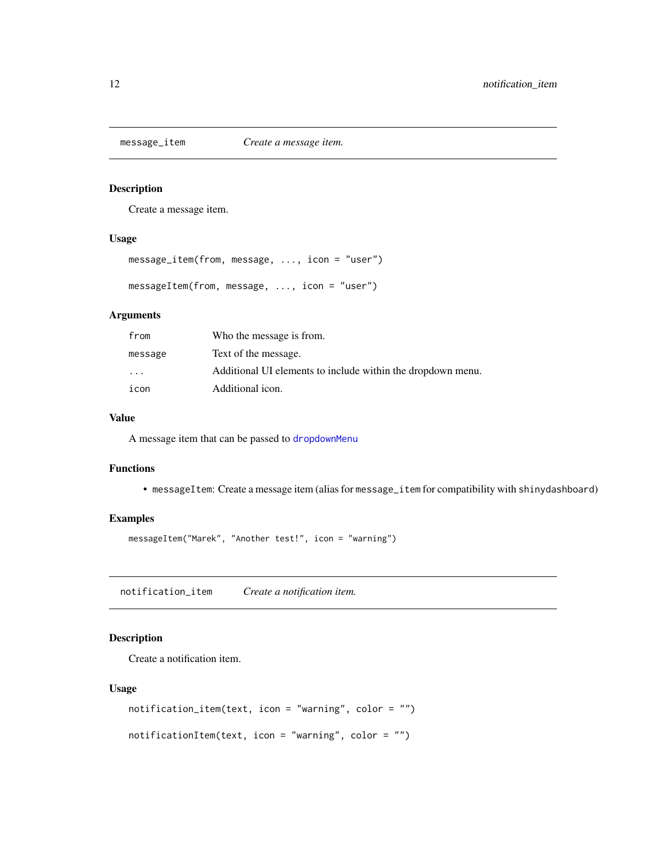<span id="page-11-0"></span>

Create a message item.

# Usage

```
message_item(from, message, ..., icon = "user")
```

```
messageItem(from, message, ..., icon = "user")
```
# Arguments

| from     | Who the message is from.                                    |
|----------|-------------------------------------------------------------|
| message  | Text of the message.                                        |
| $\cdots$ | Additional UI elements to include within the dropdown menu. |
| icon     | Additional icon.                                            |

# Value

A message item that can be passed to [dropdownMenu](#page-7-1)

# Functions

• messageItem: Create a message item (alias for message\_item for compatibility with shinydashboard)

# Examples

messageItem("Marek", "Another test!", icon = "warning")

notification\_item *Create a notification item.*

# Description

Create a notification item.

#### Usage

```
notification_item(text, icon = "warning", color = "")
notificationItem(text, icon = "warning", color = "")
```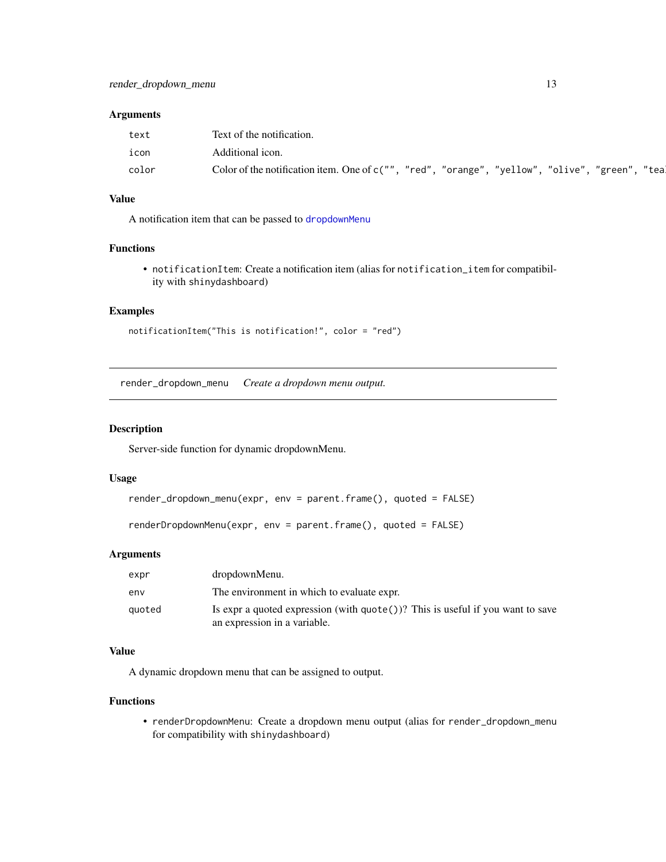#### <span id="page-12-0"></span>Arguments

| text  | Text of the notification.                                                                      |
|-------|------------------------------------------------------------------------------------------------|
| icon  | Additional icon.                                                                               |
| color | Color of the notification item. One of c("", "red", "orange", "yellow", "olive", "green", "tea |

# Value

A notification item that can be passed to [dropdownMenu](#page-7-1)

# Functions

• notificationItem: Create a notification item (alias for notification\_item for compatibility with shinydashboard)

# Examples

```
notificationItem("This is notification!", color = "red")
```
render\_dropdown\_menu *Create a dropdown menu output.*

#### Description

Server-side function for dynamic dropdownMenu.

#### Usage

```
render_dropdown_menu(expr, env = parent.frame(), quoted = FALSE)
```

```
renderDropdownMenu(expr, env = parent.frame(), quoted = FALSE)
```
#### Arguments

| expr   | dropdownMenu.                                                                                                            |
|--------|--------------------------------------------------------------------------------------------------------------------------|
| env    | The environment in which to evaluate expr.                                                                               |
| quoted | Is expr a quoted expression (with $\text{quote}()$ )? This is useful if you want to save<br>an expression in a variable. |

# Value

A dynamic dropdown menu that can be assigned to output.

# Functions

• renderDropdownMenu: Create a dropdown menu output (alias for render\_dropdown\_menu for compatibility with shinydashboard)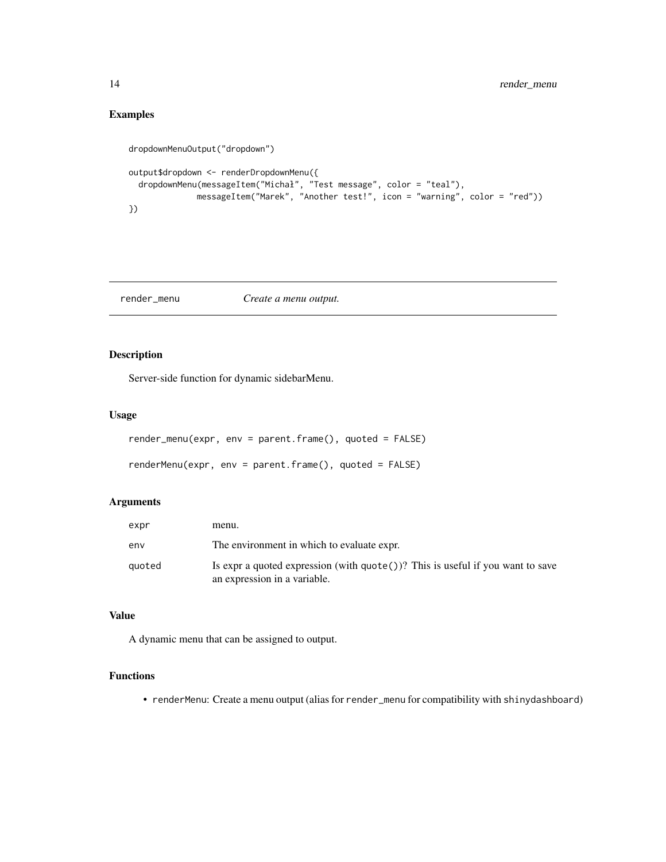# Examples

```
dropdownMenuOutput("dropdown")
output$dropdown <- renderDropdownMenu({
  dropdownMenu(messageItem("Michał", "Test message", color = "teal"),
             messageItem("Marek", "Another test!", icon = "warning", color = "red"))
})
```
render\_menu *Create a menu output.*

# Description

Server-side function for dynamic sidebarMenu.

#### Usage

```
render_menu(expr, env = parent.frame(), quoted = FALSE)
renderMenu(expr, env = parent.frame(), quoted = FALSE)
```
#### Arguments

| expr   | menu.                                                                                                                    |
|--------|--------------------------------------------------------------------------------------------------------------------------|
| env    | The environment in which to evaluate expr.                                                                               |
| quoted | Is expr a quoted expression (with $\text{quote}()$ )? This is useful if you want to save<br>an expression in a variable. |

# Value

A dynamic menu that can be assigned to output.

# Functions

• renderMenu: Create a menu output (alias for render\_menu for compatibility with shinydashboard)

<span id="page-13-0"></span>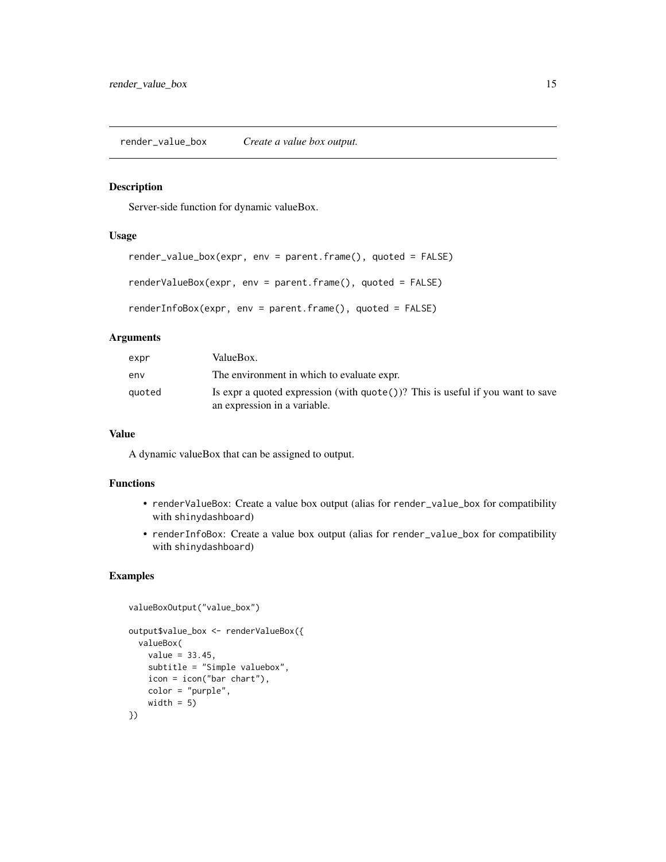<span id="page-14-0"></span>render\_value\_box *Create a value box output.*

# Description

Server-side function for dynamic valueBox.

#### Usage

```
render_value_box(expr, env = parent.frame(), quoted = FALSE)
```

```
renderValueBox(expr, env = parent.frame(), quoted = FALSE)
```
renderInfoBox(expr, env = parent.frame(), quoted = FALSE)

# Arguments

| expr   | ValueBox.                                                                                                                |
|--------|--------------------------------------------------------------------------------------------------------------------------|
| env    | The environment in which to evaluate expr.                                                                               |
| auoted | Is expr a quoted expression (with $\text{quote}()$ )? This is useful if you want to save<br>an expression in a variable. |

#### Value

A dynamic valueBox that can be assigned to output.

#### Functions

- renderValueBox: Create a value box output (alias for render\_value\_box for compatibility with shinydashboard)
- renderInfoBox: Create a value box output (alias for render\_value\_box for compatibility with shinydashboard)

```
valueBoxOutput("value_box")
output$value_box <- renderValueBox({
 valueBox(
   value = 33.45,
   subtitle = "Simple valuebox",
   icon = icon("bar chart"),
   color = "purple",
   width = 5)
})
```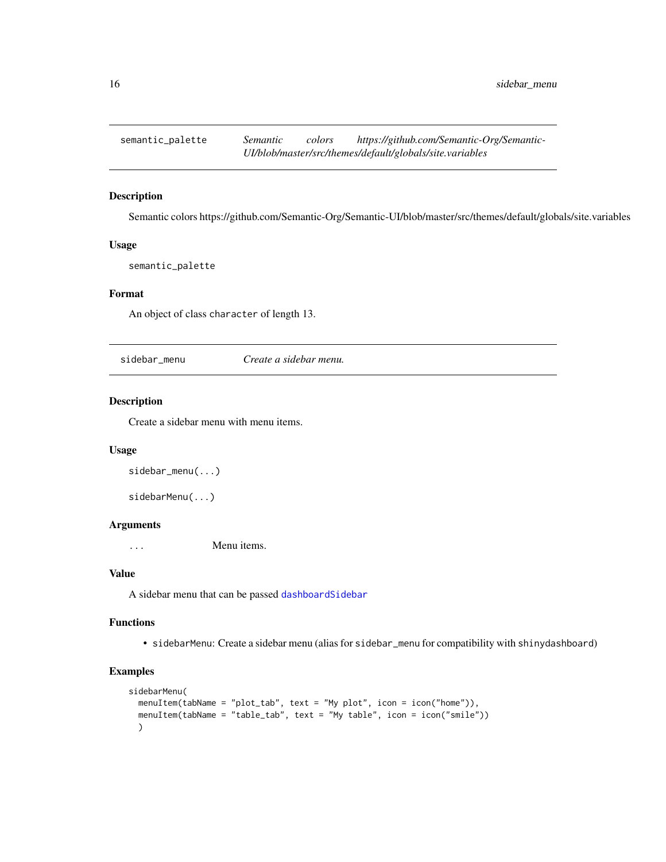<span id="page-15-0"></span>

Semantic colors https://github.com/Semantic-Org/Semantic-UI/blob/master/src/themes/default/globals/site.variables

# Usage

semantic\_palette

# Format

An object of class character of length 13.

sidebar\_menu *Create a sidebar menu.*

# <span id="page-15-1"></span>Description

Create a sidebar menu with menu items.

#### Usage

```
sidebar_menu(...)
```
sidebarMenu(...)

#### Arguments

... Menu items.

# Value

A sidebar menu that can be passed [dashboardSidebar](#page-6-1)

# Functions

• sidebarMenu: Create a sidebar menu (alias for sidebar\_menu for compatibility with shinydashboard)

```
sidebarMenu(
 menuItem(tabName = "plot_tab", text = "My plot", icon = icon("home")),
 menuItem(tabName = "table_tab", text = "My table", icon = icon("smile"))
 \lambda
```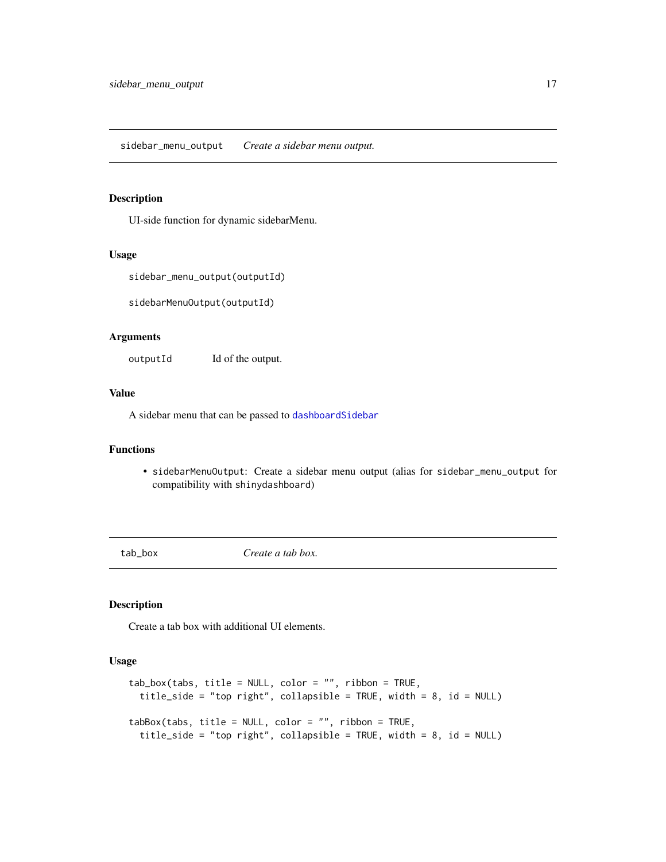<span id="page-16-0"></span>UI-side function for dynamic sidebarMenu.

#### Usage

```
sidebar_menu_output(outputId)
```
sidebarMenuOutput(outputId)

# Arguments

outputId Id of the output.

#### Value

A sidebar menu that can be passed to [dashboardSidebar](#page-6-1)

# Functions

• sidebarMenuOutput: Create a sidebar menu output (alias for sidebar\_menu\_output for compatibility with shinydashboard)

tab\_box *Create a tab box.*

#### Description

Create a tab box with additional UI elements.

#### Usage

```
tab\_box(tabs, title = NULL, color = "", ribbon = TRUE,title_side = "top right", collapsible = TRUE, width = 8, id = NULL)
tabBox(tabs, title = NULL, color = "", ribbon = TRUE,
  title_side = "top right", collapsible = TRUE, width = 8, id = NULL)
```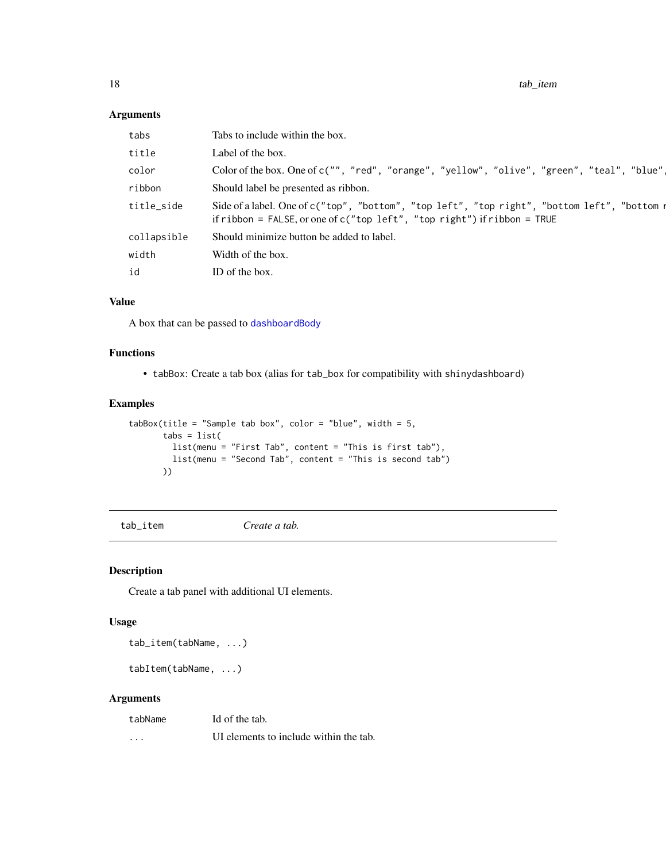<span id="page-17-0"></span>18 tab\_item tab\_item tab\_item tab\_item tab\_item tab\_item tab\_item tab\_item tab\_item tab\_item tab\_item tab\_item

# Arguments

| tabs        | Tabs to include within the box.                                                                                                                                             |
|-------------|-----------------------------------------------------------------------------------------------------------------------------------------------------------------------------|
| title       | Label of the box.                                                                                                                                                           |
| color       | Color of the box. One of c("", "red", "orange", "yellow", "olive", "green", "teal", "blue"]                                                                                 |
| ribbon      | Should label be presented as ribbon.                                                                                                                                        |
| title_side  | Side of a label. One of c("top", "bottom", "top left", "top right", "bottom left", "bottom n<br>if ribbon = FALSE, or one of $c$ ("top left", "top right") if ribbon = TRUE |
| collapsible | Should minimize button be added to label.                                                                                                                                   |
| width       | Width of the box.                                                                                                                                                           |
| id          | ID of the box.                                                                                                                                                              |
|             |                                                                                                                                                                             |

#### Value

A box that can be passed to [dashboardBody](#page-2-1)

# Functions

• tabBox: Create a tab box (alias for tab\_box for compatibility with shinydashboard)

# Examples

```
tabBox(title = "Sample tab box", color = "blue", width = 5,
      tabs = list(list(menu = "First Tab", content = "This is first tab"),
         list(menu = "Second Tab", content = "This is second tab")
      ))
```
tab\_item *Create a tab.*

# Description

Create a tab panel with additional UI elements.

# Usage

tab\_item(tabName, ...)

tabItem(tabName, ...)

# Arguments

| tabName  | Id of the tab.                         |
|----------|----------------------------------------|
| $\cdots$ | UI elements to include within the tab. |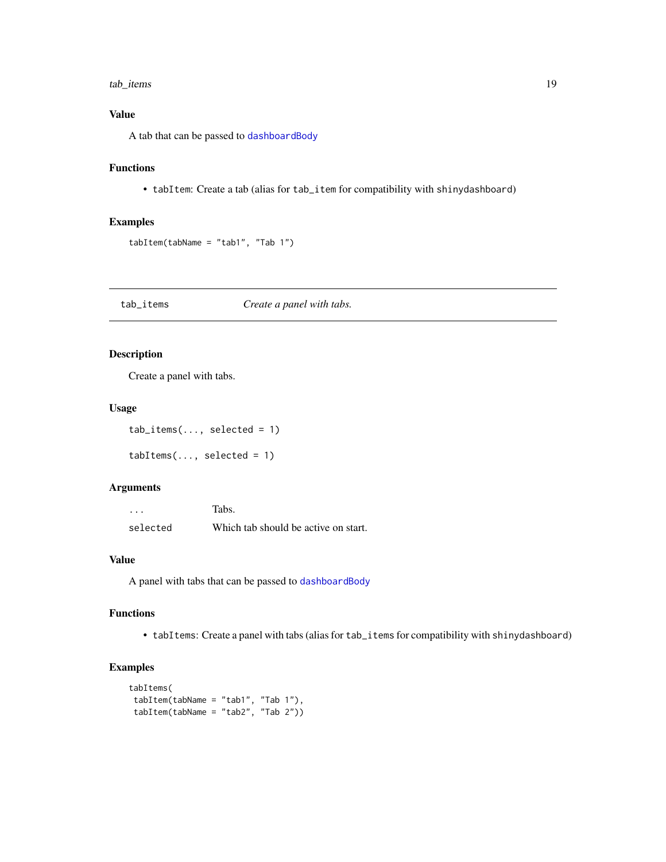#### <span id="page-18-0"></span>tab\_items 19

# Value

A tab that can be passed to [dashboardBody](#page-2-1)

# Functions

• tabItem: Create a tab (alias for tab\_item for compatibility with shinydashboard)

# Examples

```
tabItem(tabName = "tab1", "Tab 1")
```
tab\_items *Create a panel with tabs.*

# Description

Create a panel with tabs.

# Usage

 $tab\_items(..., selected = 1)$ 

 $tabItems(..., selected = 1)$ 

#### Arguments

| $\cdots$ | Tabs.                                |
|----------|--------------------------------------|
| selected | Which tab should be active on start. |

## Value

A panel with tabs that can be passed to [dashboardBody](#page-2-1)

## Functions

• tabItems: Create a panel with tabs (alias for tab\_items for compatibility with shinydashboard)

```
tabItems(
tabItem(tabName = "tab1", "Tab 1"),
tabItem(tabName = "tab2", "Tab 2"))
```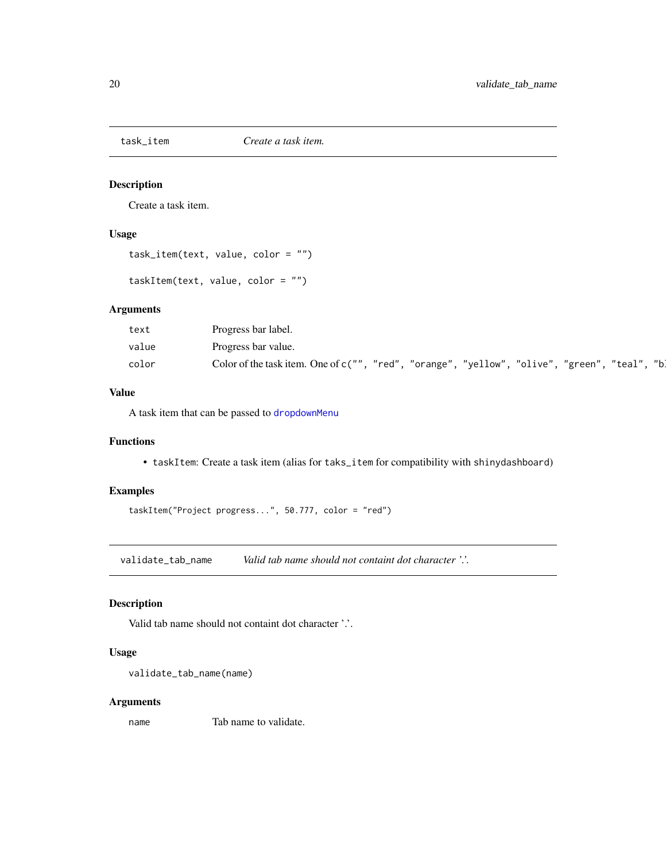<span id="page-19-0"></span>

Create a task item.

# Usage

```
task_item(text, value, color = "")
```
taskItem(text, value, color = "")

# Arguments

| text  | Progress bar label.                                                                                                 |
|-------|---------------------------------------------------------------------------------------------------------------------|
| value | Progress bar value.                                                                                                 |
| color | ‴b⊾<br>"red"<br>"orange", "yellow",<br>Color of the task item. One of $c("")$ ,<br>, "olive"<br>"teal"<br>, "green" |

# Value

A task item that can be passed to [dropdownMenu](#page-7-1)

# Functions

• taskItem: Create a task item (alias for taks\_item for compatibility with shinydashboard)

# Examples

taskItem("Project progress...", 50.777, color = "red")

validate\_tab\_name *Valid tab name should not containt dot character '.'.*

# Description

Valid tab name should not containt dot character '.'.

# Usage

```
validate_tab_name(name)
```
#### Arguments

name Tab name to validate.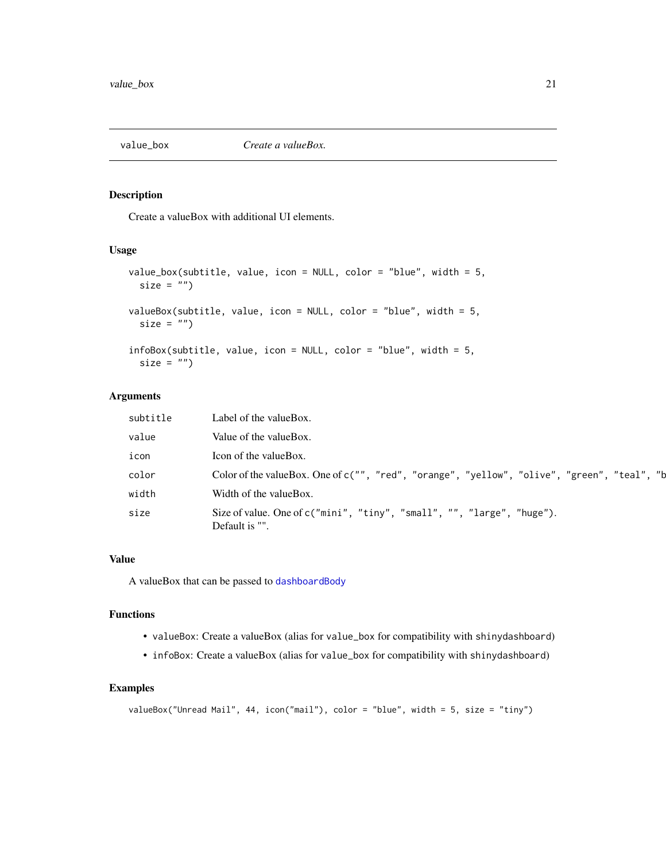<span id="page-20-0"></span>

Create a valueBox with additional UI elements.

# Usage

```
value_box(subtitle, value, icon = NULL, color = "blue", width = 5,
  size = "")valueBox(subtitle, value, icon = NULL, color = "blue", width = 5,
 size = "")infoBox(subtitle, value, icon = NULL, color = "blue", width = 5,
  size = "")
```
#### Arguments

| subtitle | Label of the value Box.                                                                     |
|----------|---------------------------------------------------------------------------------------------|
| value    | Value of the valueBox.                                                                      |
| icon     | Icon of the valueBox.                                                                       |
| color    | Color of the valueBox. One of c("", "red", "orange", "yellow", "olive", "green", "teal", "b |
| width    | Width of the valueBox.                                                                      |
| size     | Size of value. One of c("mini", "tiny", "small", "", "large", "huge").<br>Default is "".    |

# Value

A valueBox that can be passed to [dashboardBody](#page-2-1)

#### Functions

- valueBox: Create a valueBox (alias for value\_box for compatibility with shinydashboard)
- infoBox: Create a valueBox (alias for value\_box for compatibility with shinydashboard)

```
valueBox("Unread Mail", 44, icon("mail"), color = "blue", width = 5, size = "tiny")
```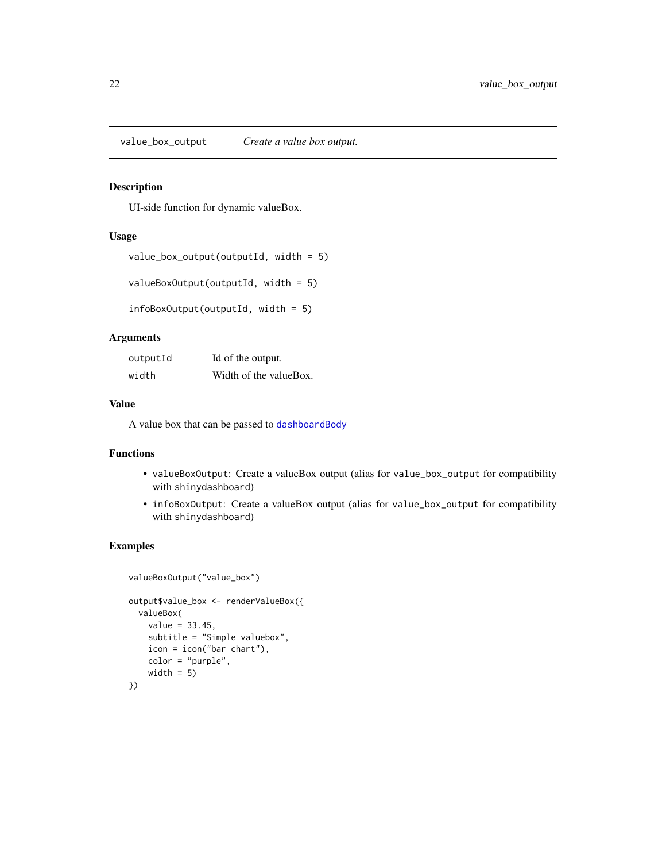<span id="page-21-0"></span>value\_box\_output *Create a value box output.*

#### Description

UI-side function for dynamic valueBox.

#### Usage

```
value_box_output(outputId, width = 5)
```

```
valueBoxOutput(outputId, width = 5)
```

```
infoBoxOutput(outputId, width = 5)
```
# Arguments

| outputId | Id of the output.      |
|----------|------------------------|
| width    | Width of the valueBox. |

# Value

A value box that can be passed to [dashboardBody](#page-2-1)

#### Functions

- valueBoxOutput: Create a valueBox output (alias for value\_box\_output for compatibility with shinydashboard)
- infoBoxOutput: Create a valueBox output (alias for value\_box\_output for compatibility with shinydashboard)

```
valueBoxOutput("value_box")
output$value_box <- renderValueBox({
 valueBox(
   value = 33.45,subtitle = "Simple valuebox",
   icon = icon("bar chart"),
   color = "purple",
   width = 5)
})
```